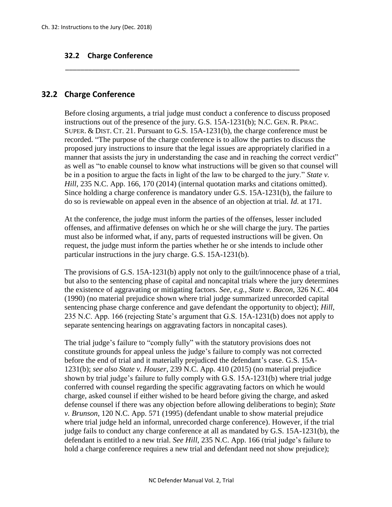## **32.2 Charge Conference**

## **32.2 Charge Conference**

Before closing arguments, a trial judge must conduct a conference to discuss proposed instructions out of the presence of the jury. G.S. 15A-1231(b); N.C. GEN. R. PRAC. SUPER. & DIST. CT. 21. Pursuant to G.S. 15A-1231(b), the charge conference must be recorded. "The purpose of the charge conference is to allow the parties to discuss the proposed jury instructions to insure that the legal issues are appropriately clarified in a manner that assists the jury in understanding the case and in reaching the correct verdict" as well as "to enable counsel to know what instructions will be given so that counsel will be in a position to argue the facts in light of the law to be charged to the jury." *State v. Hill*, 235 N.C. App. 166, 170 (2014) (internal quotation marks and citations omitted). Since holding a charge conference is mandatory under G.S. 15A-1231(b), the failure to do so is reviewable on appeal even in the absence of an objection at trial. *Id.* at 171.

\_\_\_\_\_\_\_\_\_\_\_\_\_\_\_\_\_\_\_\_\_\_\_\_\_\_\_\_\_\_\_\_\_\_\_\_\_\_\_\_\_\_\_\_\_\_\_\_\_\_\_\_\_\_\_\_\_\_\_\_\_

At the conference, the judge must inform the parties of the offenses, lesser included offenses, and affirmative defenses on which he or she will charge the jury. The parties must also be informed what, if any, parts of requested instructions will be given. On request, the judge must inform the parties whether he or she intends to include other particular instructions in the jury charge. G.S. 15A-1231(b).

The provisions of G.S. 15A-1231(b) apply not only to the guilt/innocence phase of a trial, but also to the sentencing phase of capital and noncapital trials where the jury determines the existence of aggravating or mitigating factors. *See, e.g., State v. Bacon*, 326 N.C. 404 (1990) (no material prejudice shown where trial judge summarized unrecorded capital sentencing phase charge conference and gave defendant the opportunity to object); *Hill*, 235 N.C. App. 166 (rejecting State's argument that G.S. 15A-1231(b) does not apply to separate sentencing hearings on aggravating factors in noncapital cases).

The trial judge's failure to "comply fully" with the statutory provisions does not constitute grounds for appeal unless the judge's failure to comply was not corrected before the end of trial and it materially prejudiced the defendant's case. G.S. 15A-1231(b); *see also State v. Houser*, 239 N.C. App. 410 (2015) (no material prejudice shown by trial judge's failure to fully comply with G.S. 15A-1231(b) where trial judge conferred with counsel regarding the specific aggravating factors on which he would charge, asked counsel if either wished to be heard before giving the charge, and asked defense counsel if there was any objection before allowing deliberations to begin); *State v. Brunson*, 120 N.C. App. 571 (1995) (defendant unable to show material prejudice where trial judge held an informal, unrecorded charge conference). However, if the trial judge fails to conduct any charge conference at all as mandated by G.S. 15A-1231(b), the defendant is entitled to a new trial. *See Hill*, 235 N.C. App. 166 (trial judge's failure to hold a charge conference requires a new trial and defendant need not show prejudice);